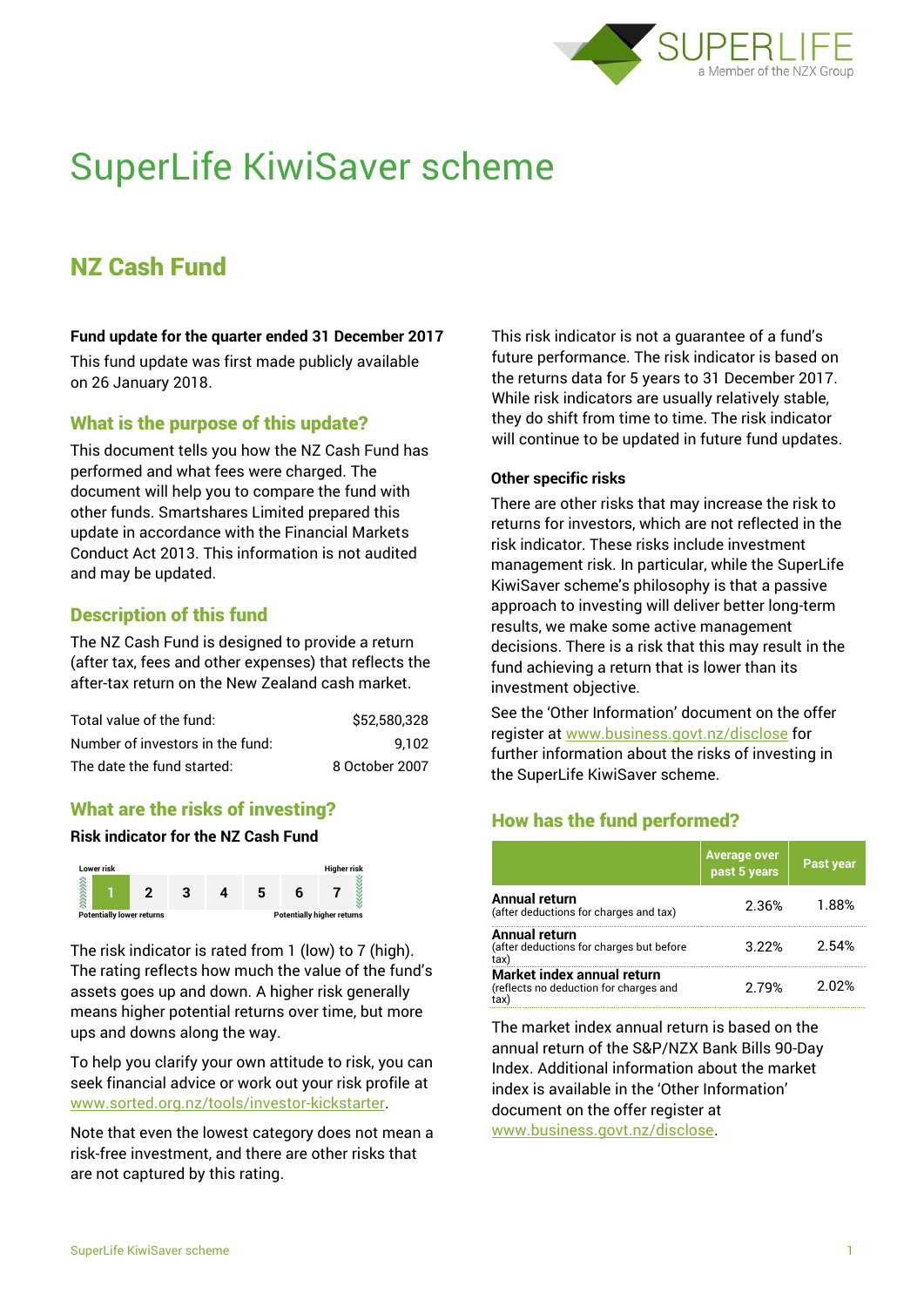

# SuperLife KiwiSaver scheme

# NZ Cash Fund

#### **Fund update for the quarter ended 31 December 2017**

This fund update was first made publicly available on 26 January 2018.

# What is the purpose of this update?

This document tells you how the NZ Cash Fund has performed and what fees were charged. The document will help you to compare the fund with other funds. Smartshares Limited prepared this update in accordance with the Financial Markets Conduct Act 2013. This information is not audited and may be updated.

# Description of this fund

The NZ Cash Fund is designed to provide a return (after tax, fees and other expenses) that reflects the after-tax return on the New Zealand cash market.

| Total value of the fund:         | \$52,580,328   |
|----------------------------------|----------------|
| Number of investors in the fund: | 9.102          |
| The date the fund started:       | 8 October 2007 |

# What are the risks of investing?

#### **Risk indicator for the NZ Cash Fund**



The risk indicator is rated from 1 (low) to 7 (high). The rating reflects how much the value of the fund's assets goes up and down. A higher risk generally means higher potential returns over time, but more ups and downs along the way.

To help you clarify your own attitude to risk, you can seek financial advice or work out your risk profile at [www.sorted.org.nz/tools/investor-kickstarter.](http://www.sorted.org.nz/tools/investor-kickstarter)

Note that even the lowest category does not mean a risk-free investment, and there are other risks that are not captured by this rating.

This risk indicator is not a guarantee of a fund's future performance. The risk indicator is based on the returns data for 5 years to 31 December 2017. While risk indicators are usually relatively stable, they do shift from time to time. The risk indicator will continue to be updated in future fund updates.

#### **Other specific risks**

There are other risks that may increase the risk to returns for investors, which are not reflected in the risk indicator. These risks include investment management risk. In particular, while the SuperLife KiwiSaver scheme's philosophy is that a passive approach to investing will deliver better long-term results, we make some active management decisions. There is a risk that this may result in the fund achieving a return that is lower than its investment objective.

See the 'Other Information' document on the offer register at www.business.govt.nz/disclose for further information about the risks of investing in the SuperLife KiwiSaver scheme.

# How has the fund performed?

|                                                                             | <b>Average over</b><br>past 5 years | <b>Past year</b> |
|-----------------------------------------------------------------------------|-------------------------------------|------------------|
| <b>Annual return</b><br>(after deductions for charges and tax)              | 2.36%                               | 1.88%            |
| <b>Annual return</b><br>(after deductions for charges but before<br>tax)    | 3.22%                               | 2.54%            |
| Market index annual return<br>(reflects no deduction for charges and<br>tax | 2 79%                               | 2 በ2%            |

The market index annual return is based on the annual return of the S&P/NZX Bank Bills 90-Day Index. Additional information about the market index is available in the 'Other Information' document on the offer register at

www.business.govt.nz/disclose.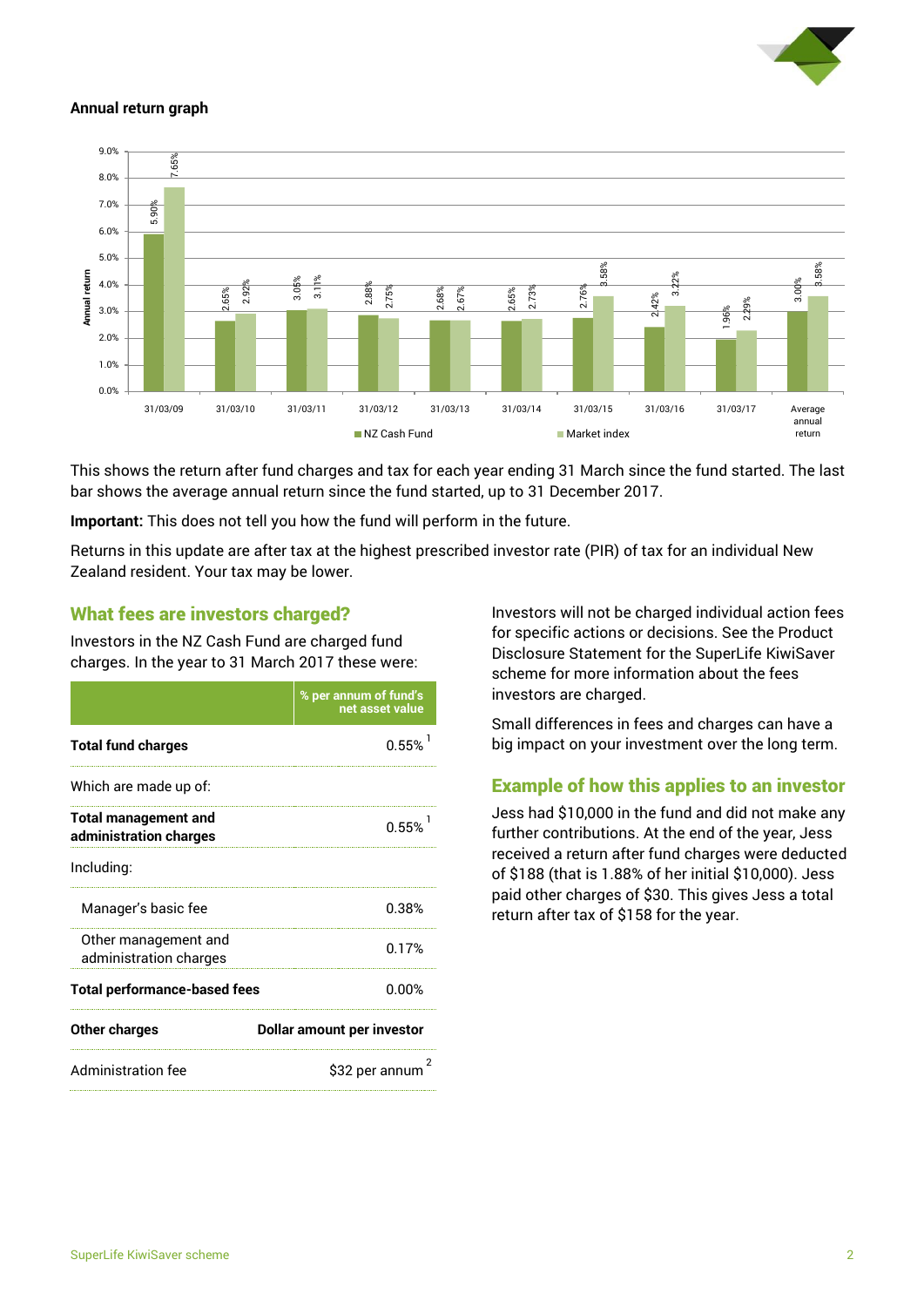

#### **Annual return graph**



This shows the return after fund charges and tax for each year ending 31 March since the fund started. The last bar shows the average annual return since the fund started, up to 31 December 2017.

**Important:** This does not tell you how the fund will perform in the future.

Returns in this update are after tax at the highest prescribed investor rate (PIR) of tax for an individual New Zealand resident. Your tax may be lower.

#### What fees are investors charged?

Investors in the NZ Cash Fund are charged fund charges. In the year to 31 March 2017 these were:

|                                                       | % per annum of fund's<br>net asset value |  |
|-------------------------------------------------------|------------------------------------------|--|
| <b>Total fund charges</b>                             | 0.55%                                    |  |
| Which are made up of:                                 |                                          |  |
| <b>Total management and</b><br>administration charges | 0.55%                                    |  |
| Including:                                            |                                          |  |
| Manager's basic fee                                   | 0.38%                                    |  |
| Other management and<br>administration charges        | በ 17%                                    |  |
| <b>Total performance-based fees</b>                   | 0.00%                                    |  |
| <b>Other charges</b>                                  | Dollar amount per investor               |  |
| <b>Administration fee</b>                             | 2<br>\$32 per annum                      |  |

Investors will not be charged individual action fees for specific actions or decisions. See the Product Disclosure Statement for the SuperLife KiwiSaver scheme for more information about the fees investors are charged.

Small differences in fees and charges can have a big impact on your investment over the long term.

# Example of how this applies to an investor

Jess had \$10,000 in the fund and did not make any further contributions. At the end of the year, Jess received a return after fund charges were deducted of \$188 (that is 1.88% of her initial \$10,000). Jess paid other charges of \$30. This gives Jess a total return after tax of \$158 for the year.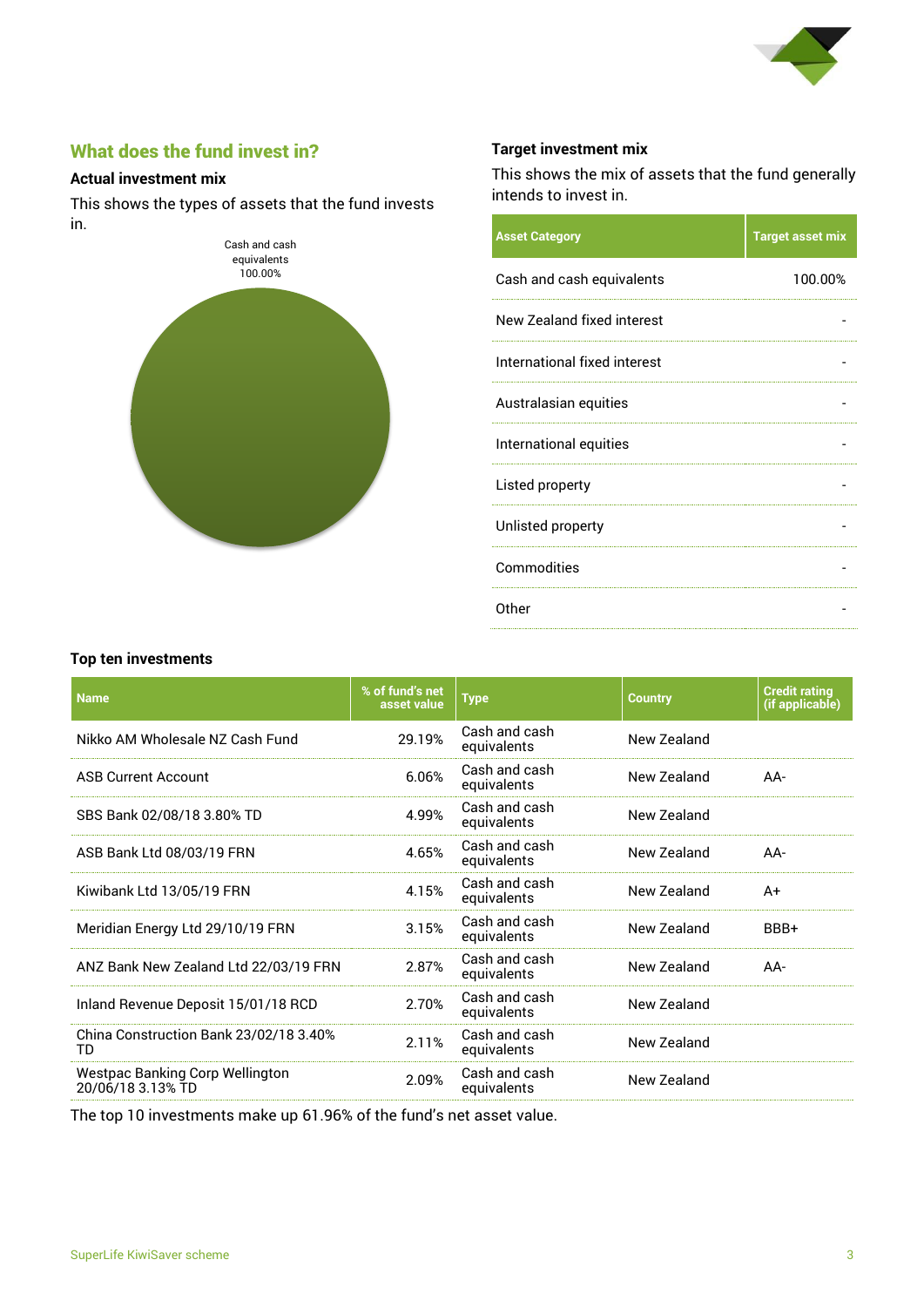

# What does the fund invest in?

#### **Actual investment mix**

This shows the types of assets that the fund invests in.



#### **Target investment mix**

This shows the mix of assets that the fund generally intends to invest in.

| <b>Asset Category</b>        | <b>Target asset mix</b> |
|------------------------------|-------------------------|
| Cash and cash equivalents    | 100.00%                 |
| New Zealand fixed interest   |                         |
| International fixed interest |                         |
| Australasian equities        |                         |
| International equities       |                         |
| Listed property              |                         |
| Unlisted property            |                         |
| Commodities                  |                         |
| Other                        |                         |
|                              |                         |

#### **Top ten investments**

| <b>Name</b>                                                 | % of fund's net<br>asset value | <b>Type</b>                  | <b>Country</b> | <b>Credit rating</b><br>(if applicable) |
|-------------------------------------------------------------|--------------------------------|------------------------------|----------------|-----------------------------------------|
| Nikko AM Wholesale NZ Cash Fund                             | 29.19%                         | Cash and cash<br>equivalents | New Zealand    |                                         |
| <b>ASB Current Account</b>                                  | 6.06%                          | Cash and cash<br>equivalents | New Zealand    | AA-                                     |
| SBS Bank 02/08/18 3.80% TD                                  | 4.99%                          | Cash and cash<br>equivalents | New Zealand    |                                         |
| ASB Bank Ltd 08/03/19 FRN                                   | 4.65%                          | Cash and cash<br>equivalents | New Zealand    | $AA-$                                   |
| Kiwibank Ltd 13/05/19 FRN                                   | 4.15%                          | Cash and cash<br>equivalents | New Zealand    | A+                                      |
| Meridian Energy Ltd 29/10/19 FRN                            | 3.15%                          | Cash and cash<br>equivalents | New Zealand    | BBB+                                    |
| ANZ Bank New Zealand Ltd 22/03/19 FRN                       | 2.87%                          | Cash and cash<br>equivalents | New Zealand    | $AA-$                                   |
| Inland Revenue Deposit 15/01/18 RCD                         | 2.70%                          | Cash and cash<br>equivalents | New Zealand    |                                         |
| China Construction Bank 23/02/18 3.40%<br>TD                | 2.11%                          | Cash and cash<br>equivalents | New Zealand    |                                         |
| <b>Westpac Banking Corp Wellington</b><br>20/06/18 3.13% TD | 2.09%                          | Cash and cash<br>equivalents | New Zealand    |                                         |

The top 10 investments make up 61.96% of the fund's net asset value.